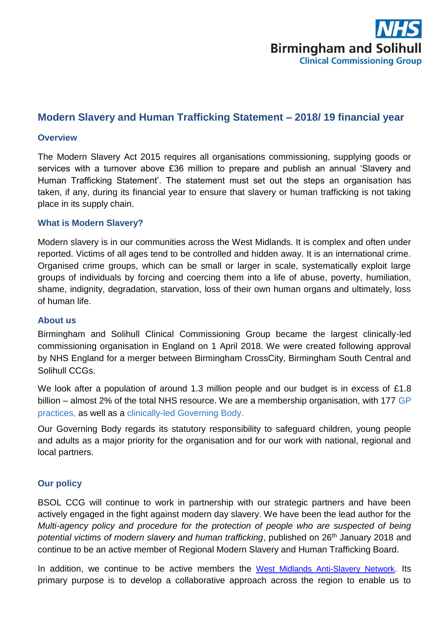

# **Modern Slavery and Human Trafficking Statement – 2018/ 19 financial year**

#### **Overview**

The Modern Slavery Act 2015 requires all organisations commissioning, supplying goods or services with a turnover above £36 million to prepare and publish an annual 'Slavery and Human Trafficking Statement'. The statement must set out the steps an organisation has taken, if any, during its financial year to ensure that slavery or human trafficking is not taking place in its supply chain.

#### **What is Modern Slavery?**

Modern slavery is in our communities across the West Midlands. It is complex and often under reported. Victims of all ages tend to be controlled and hidden away. It is an international crime. Organised crime groups, which can be small or larger in scale, systematically exploit large groups of individuals by forcing and coercing them into a life of abuse, poverty, humiliation, shame, indignity, degradation, starvation, loss of their own human organs and ultimately, loss of human life.

#### **About us**

Birmingham and Solihull Clinical Commissioning Group became the largest clinically-led commissioning organisation in England on 1 April 2018. We were created following approval by NHS England for a merger between Birmingham CrossCity, Birmingham South Central and Solihull CCGs.

We look after a population of around 1.3 million people and our budget is in excess of £1.8 billion – almost 2% of the total NHS resource. We are a membership organisation, with 177 GP [practices,](https://www.birminghamandsolihullccg.nhs.uk/about-us/practices) as well as a clinically-led [Governing Body.](https://www.birminghamandsolihullccg.nhs.uk/about-us/governing-body)

Our Governing Body regards its statutory responsibility to safeguard children, young people and adults as a major priority for the organisation and for our work with national, regional and local partners.

### **Our policy**

BSOL CCG will continue to work in partnership with our strategic partners and have been actively engaged in the fight against modern day slavery. We have been the lead author for the *Multi-agency policy and procedure for the protection of people who are suspected of being*  potential victims of modern slavery and human trafficking, published on 26<sup>th</sup> January 2018 and continue to be an active member of Regional Modern Slavery and Human Trafficking Board.

In addition, we continue to be active members the [West Midlands Anti-Slavery Network](http://www.westmidlandsantislavery.org/). Its primary purpose is to develop a collaborative approach across the region to enable us to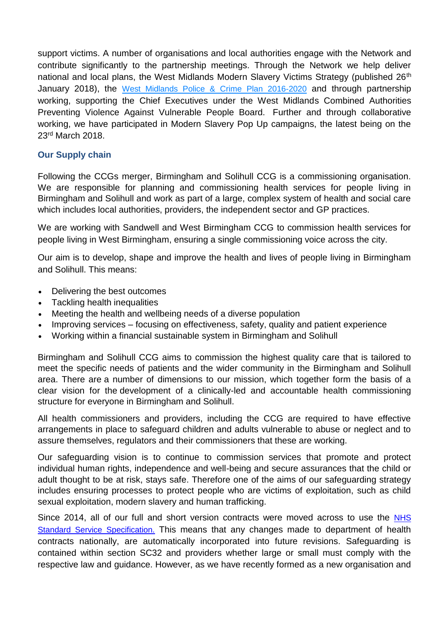support victims. A number of organisations and local authorities engage with the Network and contribute significantly to the partnership meetings. Through the Network we help deliver national and local plans, the West Midlands Modern Slavery Victims Strategy (published 26<sup>th</sup> January 2018), the [West Midlands Police & Crime Plan 2016-2020](http://nhs.us10.list-manage.com/track/click?u=0620a19b515794058c35dc999&id=109e8cb84d&e=749d91c924) and through partnership working, supporting the Chief Executives under the West Midlands Combined Authorities Preventing Violence Against Vulnerable People Board. Further and through collaborative working, we have participated in Modern Slavery Pop Up campaigns, the latest being on the 23rd March 2018.

# **Our Supply chain**

Following the CCGs merger, Birmingham and Solihull CCG is a commissioning organisation. We are responsible for planning and commissioning health services for people living in Birmingham and Solihull and work as part of a large, complex system of health and social care which includes local authorities, providers, the independent sector and GP practices.

We are working with Sandwell and West Birmingham CCG to commission health services for people living in West Birmingham, ensuring a single commissioning voice across the city.

Our aim is to develop, shape and improve the health and lives of people living in Birmingham and Solihull. This means:

- Delivering the best outcomes
- Tackling health inequalities
- Meeting the health and wellbeing needs of a diverse population
- Improving services focusing on effectiveness, safety, quality and patient experience
- Working within a financial sustainable system in Birmingham and Solihull

Birmingham and Solihull CCG aims to commission the highest quality care that is tailored to meet the specific needs of patients and the wider community in the Birmingham and Solihull area. There are a number of dimensions to our mission, which together form the basis of a clear vision for the development of a clinically-led and accountable health commissioning structure for everyone in Birmingham and Solihull.

All health commissioners and providers, including the CCG are required to have effective arrangements in place to safeguard children and adults vulnerable to abuse or neglect and to assure themselves, regulators and their commissioners that these are working.

Our safeguarding vision is to continue to commission services that promote and protect individual human rights, independence and well-being and secure assurances that the child or adult thought to be at risk, stays safe. Therefore one of the aims of our safeguarding strategy includes ensuring processes to protect people who are victims of exploitation, such as child sexual exploitation, modern slavery and human trafficking.

Since 2014, all of our full and short version contracts were moved across to use the NHS [Standard Service Specification.](https://www.england.nhs.uk/nhs-standard-contract/17-19-updated/) This means that any changes made to department of health contracts nationally, are automatically incorporated into future revisions. Safeguarding is contained within section SC32 and providers whether large or small must comply with the respective law and guidance. However, as we have recently formed as a new organisation and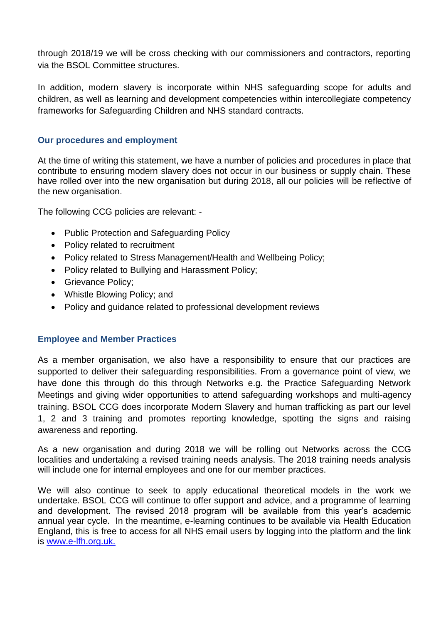through 2018/19 we will be cross checking with our commissioners and contractors, reporting via the BSOL Committee structures.

In addition, modern slavery is incorporate within NHS safeguarding scope for adults and children, as well as learning and development competencies within intercollegiate competency frameworks for Safeguarding Children and NHS standard contracts.

### **Our procedures and employment**

At the time of writing this statement, we have a number of policies and procedures in place that contribute to ensuring modern slavery does not occur in our business or supply chain. These have rolled over into the new organisation but during 2018, all our policies will be reflective of the new organisation.

The following CCG policies are relevant: -

- Public Protection and Safeguarding Policy
- Policy related to recruitment
- Policy related to Stress Management/Health and Wellbeing Policy;
- Policy related to Bullying and Harassment Policy;
- Grievance Policy;
- Whistle Blowing Policy; and
- Policy and quidance related to professional development reviews

# **Employee and Member Practices**

As a member organisation, we also have a responsibility to ensure that our practices are supported to deliver their safeguarding responsibilities. From a governance point of view, we have done this through do this through Networks e.g. the Practice Safeguarding Network Meetings and giving wider opportunities to attend safeguarding workshops and multi-agency training. BSOL CCG does incorporate Modern Slavery and human trafficking as part our level 1, 2 and 3 training and promotes reporting knowledge, spotting the signs and raising awareness and reporting.

As a new organisation and during 2018 we will be rolling out Networks across the CCG localities and undertaking a revised training needs analysis. The 2018 training needs analysis will include one for internal employees and one for our member practices.

We will also continue to seek to apply educational theoretical models in the work we undertake. BSOL CCG will continue to offer support and advice, and a programme of learning and development. The revised 2018 program will be available from this year's academic annual year cycle. In the meantime, e-learning continues to be available via Health Education England, this is free to access for all NHS email users by logging into the platform and the link is [www.e-lfh.org.uk.](http://www.e-lfh.org.uk/)